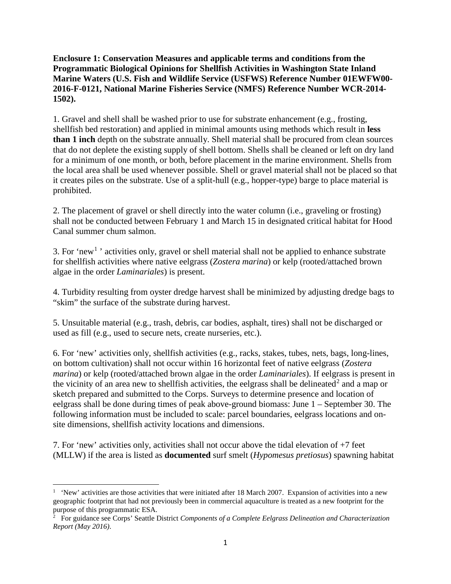**Enclosure 1: Conservation Measures and applicable terms and conditions from the Programmatic Biological Opinions for Shellfish Activities in Washington State Inland Marine Waters (U.S. Fish and Wildlife Service (USFWS) Reference Number 01EWFW00- 2016-F-0121, National Marine Fisheries Service (NMFS) Reference Number WCR-2014- 1502).**

1. Gravel and shell shall be washed prior to use for substrate enhancement (e.g., frosting, shellfish bed restoration) and applied in minimal amounts using methods which result in **less than 1 inch** depth on the substrate annually. Shell material shall be procured from clean sources that do not deplete the existing supply of shell bottom. Shells shall be cleaned or left on dry land for a minimum of one month, or both, before placement in the marine environment. Shells from the local area shall be used whenever possible. Shell or gravel material shall not be placed so that it creates piles on the substrate. Use of a split-hull (e.g., hopper-type) barge to place material is prohibited.

2. The placement of gravel or shell directly into the water column (i.e., graveling or frosting) shall not be conducted between February 1 and March 15 in designated critical habitat for Hood Canal summer chum salmon.

3. For 'new<sup>[1](#page-0-0)</sup>' activities only, gravel or shell material shall not be applied to enhance substrate for shellfish activities where native eelgrass (*Zostera marina*) or kelp (rooted/attached brown algae in the order *Laminariales*) is present.

4. Turbidity resulting from oyster dredge harvest shall be minimized by adjusting dredge bags to "skim" the surface of the substrate during harvest.

5. Unsuitable material (e.g., trash, debris, car bodies, asphalt, tires) shall not be discharged or used as fill (e.g., used to secure nets, create nurseries, etc.).

6. For 'new' activities only, shellfish activities (e.g., racks, stakes, tubes, nets, bags, long-lines, on bottom cultivation) shall not occur within 16 horizontal feet of native eelgrass (*Zostera marina*) or kelp (rooted/attached brown algae in the order *Laminariales*). If eelgrass is present in the vicinity of an area new to shell fish activities, the eelgrass shall be delineated<sup>[2](#page-0-1)</sup> and a map or sketch prepared and submitted to the Corps. Surveys to determine presence and location of eelgrass shall be done during times of peak above-ground biomass: June 1 – September 30. The following information must be included to scale: parcel boundaries, eelgrass locations and onsite dimensions, shellfish activity locations and dimensions.

7. For 'new' activities only, activities shall not occur above the tidal elevation of +7 feet (MLLW) if the area is listed as **documented** surf smelt (*Hypomesus pretiosus*) spawning habitat

l

<span id="page-0-0"></span><sup>&</sup>lt;sup>1</sup> 'New' activities are those activities that were initiated after 18 March 2007. Expansion of activities into a new geographic footprint that had not previously been in commercial aquaculture is treated as a new footprint for the

<span id="page-0-1"></span>purpose of this programmatic ESA.<br><sup>2</sup> For guidance see Corps' Seattle District *Components of a Complete Eelgrass Delineation and Characterization Report (May 2016)*.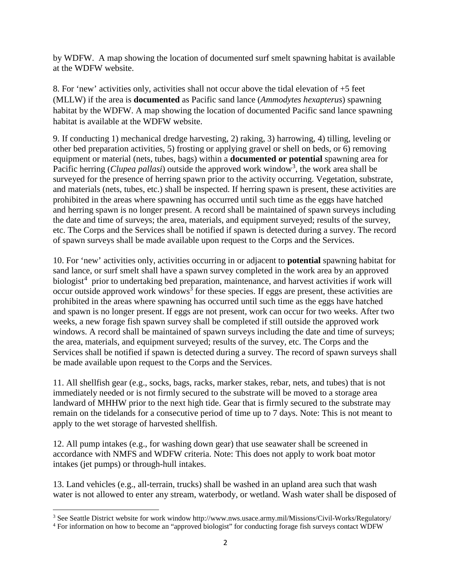by WDFW. A map showing the location of documented surf smelt spawning habitat is available at the WDFW website.

8. For 'new' activities only, activities shall not occur above the tidal elevation of +5 feet (MLLW) if the area is **documented** as Pacific sand lance (*Ammodytes hexapterus*) spawning habitat by the WDFW. A map showing the location of documented Pacific sand lance spawning habitat is available at the WDFW website.

9. If conducting 1) mechanical dredge harvesting, 2) raking, 3) harrowing, 4) tilling, leveling or other bed preparation activities, 5) frosting or applying gravel or shell on beds, or 6) removing equipment or material (nets, tubes, bags) within a **documented or potential** spawning area for Pacific herring (*Clupea pallasi*) outside the approved work window<sup>[3](#page-1-0)</sup>, the work area shall be surveyed for the presence of herring spawn prior to the activity occurring. Vegetation, substrate, and materials (nets, tubes, etc.) shall be inspected. If herring spawn is present, these activities are prohibited in the areas where spawning has occurred until such time as the eggs have hatched and herring spawn is no longer present. A record shall be maintained of spawn surveys including the date and time of surveys; the area, materials, and equipment surveyed; results of the survey, etc. The Corps and the Services shall be notified if spawn is detected during a survey. The record of spawn surveys shall be made available upon request to the Corps and the Services.

10. For 'new' activities only, activities occurring in or adjacent to **potential** spawning habitat for sand lance, or surf smelt shall have a spawn survey completed in the work area by an approved biologist<sup>[4](#page-1-1)</sup> prior to undertaking bed preparation, maintenance, and harvest activities if work will  $\alpha$  occur outside approved work windows<sup>3</sup> for these species. If eggs are present, these activities are prohibited in the areas where spawning has occurred until such time as the eggs have hatched and spawn is no longer present. If eggs are not present, work can occur for two weeks. After two weeks, a new forage fish spawn survey shall be completed if still outside the approved work windows. A record shall be maintained of spawn surveys including the date and time of surveys; the area, materials, and equipment surveyed; results of the survey, etc. The Corps and the Services shall be notified if spawn is detected during a survey. The record of spawn surveys shall be made available upon request to the Corps and the Services.

11. All shellfish gear (e.g., socks, bags, racks, marker stakes, rebar, nets, and tubes) that is not immediately needed or is not firmly secured to the substrate will be moved to a storage area landward of MHHW prior to the next high tide. Gear that is firmly secured to the substrate may remain on the tidelands for a consecutive period of time up to 7 days. Note: This is not meant to apply to the wet storage of harvested shellfish.

12. All pump intakes (e.g., for washing down gear) that use seawater shall be screened in accordance with NMFS and WDFW criteria. Note: This does not apply to work boat motor intakes (jet pumps) or through-hull intakes.

13. Land vehicles (e.g., all-terrain, trucks) shall be washed in an upland area such that wash water is not allowed to enter any stream, waterbody, or wetland. Wash water shall be disposed of

l

<span id="page-1-0"></span><sup>3</sup> See Seattle District website for work window http://www.nws.usace.army.mil/Missions/Civil-Works/Regulatory/

<span id="page-1-1"></span><sup>4</sup> For information on how to become an "approved biologist" for conducting forage fish surveys contact WDFW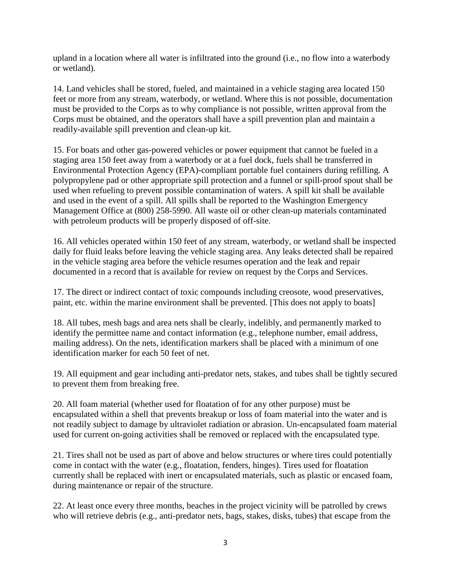upland in a location where all water is infiltrated into the ground (i.e., no flow into a waterbody or wetland).

14. Land vehicles shall be stored, fueled, and maintained in a vehicle staging area located 150 feet or more from any stream, waterbody, or wetland. Where this is not possible, documentation must be provided to the Corps as to why compliance is not possible, written approval from the Corps must be obtained, and the operators shall have a spill prevention plan and maintain a readily-available spill prevention and clean-up kit.

15. For boats and other gas-powered vehicles or power equipment that cannot be fueled in a staging area 150 feet away from a waterbody or at a fuel dock, fuels shall be transferred in Environmental Protection Agency (EPA)-compliant portable fuel containers during refilling. A polypropylene pad or other appropriate spill protection and a funnel or spill-proof spout shall be used when refueling to prevent possible contamination of waters. A spill kit shall be available and used in the event of a spill. All spills shall be reported to the Washington Emergency Management Office at (800) 258-5990. All waste oil or other clean-up materials contaminated with petroleum products will be properly disposed of off-site.

16. All vehicles operated within 150 feet of any stream, waterbody, or wetland shall be inspected daily for fluid leaks before leaving the vehicle staging area. Any leaks detected shall be repaired in the vehicle staging area before the vehicle resumes operation and the leak and repair documented in a record that is available for review on request by the Corps and Services.

17. The direct or indirect contact of toxic compounds including creosote, wood preservatives, paint, etc. within the marine environment shall be prevented. [This does not apply to boats]

18. All tubes, mesh bags and area nets shall be clearly, indelibly, and permanently marked to identify the permittee name and contact information (e.g., telephone number, email address, mailing address). On the nets, identification markers shall be placed with a minimum of one identification marker for each 50 feet of net.

19. All equipment and gear including anti-predator nets, stakes, and tubes shall be tightly secured to prevent them from breaking free.

20. All foam material (whether used for floatation of for any other purpose) must be encapsulated within a shell that prevents breakup or loss of foam material into the water and is not readily subject to damage by ultraviolet radiation or abrasion. Un-encapsulated foam material used for current on-going activities shall be removed or replaced with the encapsulated type.

21. Tires shall not be used as part of above and below structures or where tires could potentially come in contact with the water (e.g., floatation, fenders, hinges). Tires used for floatation currently shall be replaced with inert or encapsulated materials, such as plastic or encased foam, during maintenance or repair of the structure.

22. At least once every three months, beaches in the project vicinity will be patrolled by crews who will retrieve debris (e.g., anti-predator nets, bags, stakes, disks, tubes) that escape from the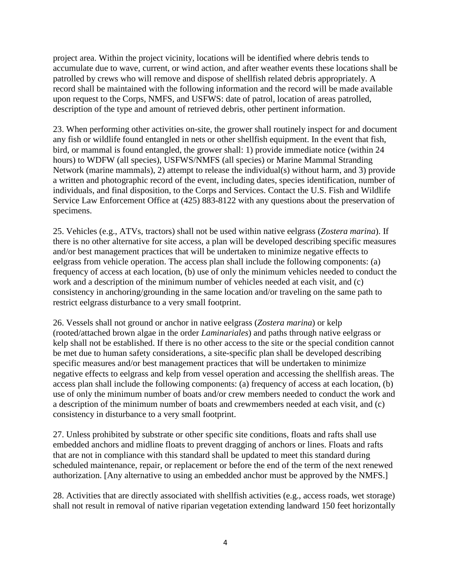project area. Within the project vicinity, locations will be identified where debris tends to accumulate due to wave, current, or wind action, and after weather events these locations shall be patrolled by crews who will remove and dispose of shellfish related debris appropriately. A record shall be maintained with the following information and the record will be made available upon request to the Corps, NMFS, and USFWS: date of patrol, location of areas patrolled, description of the type and amount of retrieved debris, other pertinent information.

23. When performing other activities on-site, the grower shall routinely inspect for and document any fish or wildlife found entangled in nets or other shellfish equipment. In the event that fish, bird, or mammal is found entangled, the grower shall: 1) provide immediate notice (within 24 hours) to WDFW (all species), USFWS/NMFS (all species) or Marine Mammal Stranding Network (marine mammals), 2) attempt to release the individual(s) without harm, and 3) provide a written and photographic record of the event, including dates, species identification, number of individuals, and final disposition, to the Corps and Services. Contact the U.S. Fish and Wildlife Service Law Enforcement Office at (425) 883-8122 with any questions about the preservation of specimens.

25. Vehicles (e.g., ATVs, tractors) shall not be used within native eelgrass (*Zostera marina*). If there is no other alternative for site access, a plan will be developed describing specific measures and/or best management practices that will be undertaken to minimize negative effects to eelgrass from vehicle operation. The access plan shall include the following components: (a) frequency of access at each location, (b) use of only the minimum vehicles needed to conduct the work and a description of the minimum number of vehicles needed at each visit, and (c) consistency in anchoring/grounding in the same location and/or traveling on the same path to restrict eelgrass disturbance to a very small footprint.

26. Vessels shall not ground or anchor in native eelgrass (*Zostera marina*) or kelp (rooted/attached brown algae in the order *Laminariales*) and paths through native eelgrass or kelp shall not be established. If there is no other access to the site or the special condition cannot be met due to human safety considerations, a site-specific plan shall be developed describing specific measures and/or best management practices that will be undertaken to minimize negative effects to eelgrass and kelp from vessel operation and accessing the shellfish areas. The access plan shall include the following components: (a) frequency of access at each location, (b) use of only the minimum number of boats and/or crew members needed to conduct the work and a description of the minimum number of boats and crewmembers needed at each visit, and (c) consistency in disturbance to a very small footprint.

27. Unless prohibited by substrate or other specific site conditions, floats and rafts shall use embedded anchors and midline floats to prevent dragging of anchors or lines. Floats and rafts that are not in compliance with this standard shall be updated to meet this standard during scheduled maintenance, repair, or replacement or before the end of the term of the next renewed authorization. [Any alternative to using an embedded anchor must be approved by the NMFS.]

28. Activities that are directly associated with shellfish activities (e.g., access roads, wet storage) shall not result in removal of native riparian vegetation extending landward 150 feet horizontally